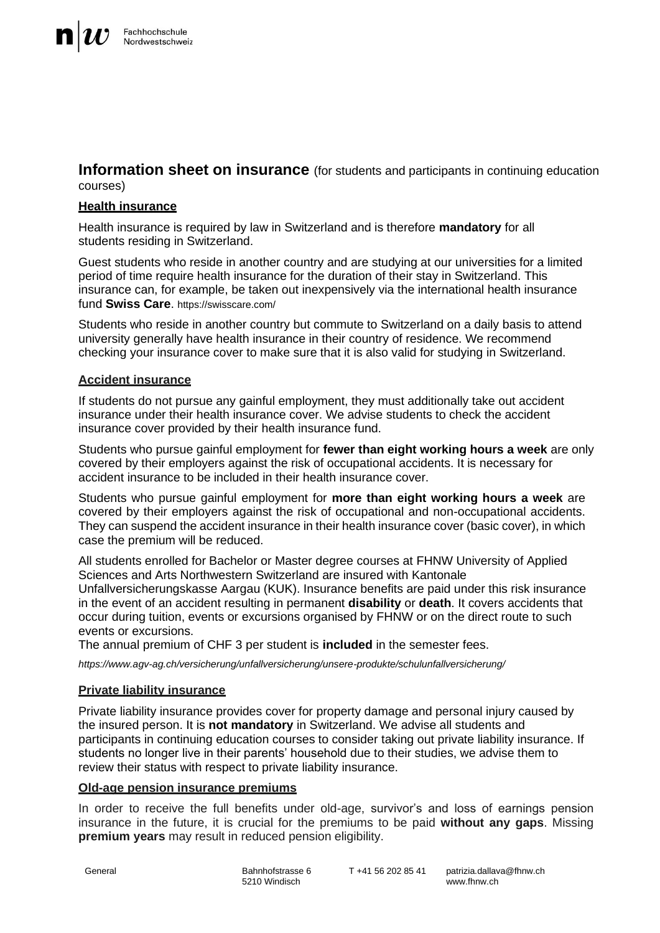**Information sheet on insurance** (for students and participants in continuing education courses)

# **Health insurance**

Health insurance is required by law in Switzerland and is therefore **mandatory** for all students residing in Switzerland.

Guest students who reside in another country and are studying at our universities for a limited period of time require health insurance for the duration of their stay in Switzerland. This insurance can, for example, be taken out inexpensively via the international health insurance fund **Swiss Care**. <https://swisscare.com/>

Students who reside in another country but commute to Switzerland on a daily basis to attend university generally have health insurance in their country of residence. We recommend checking your insurance cover to make sure that it is also valid for studying in Switzerland.

# **Accident insurance**

If students do not pursue any gainful employment, they must additionally take out accident insurance under their health insurance cover. We advise students to check the accident insurance cover provided by their health insurance fund.

Students who pursue gainful employment for **fewer than eight working hours a week** are only covered by their employers against the risk of occupational accidents. It is necessary for accident insurance to be included in their health insurance cover.

Students who pursue gainful employment for **more than eight working hours a week** are covered by their employers against the risk of occupational and non-occupational accidents. They can suspend the accident insurance in their health insurance cover (basic cover), in which case the premium will be reduced.

All students enrolled for Bachelor or Master degree courses at FHNW University of Applied Sciences and Arts Northwestern Switzerland are insured with Kantonale

Unfallversicherungskasse Aargau (KUK). Insurance benefits are paid under this risk insurance in the event of an accident resulting in permanent **disability** or **death**. It covers accidents that occur during tuition, events or excursions organised by FHNW or on the direct route to such events or excursions.

The annual premium of CHF 3 per student is **included** in the semester fees.

*[https://www.agv-ag.ch/versicherung/unfallversicherung/unsere-produkte/schulunfallversicherung/](http://www.agv-ag.ch/versicherung/unfallversicherung/unsere-produkte/schulunfallversicherung/)*

# **Private liability insurance**

Private liability insurance provides cover for property damage and personal injury caused by the insured person. It is **not mandatory** in Switzerland. We advise all students and participants in continuing education courses to consider taking out private liability insurance. If students no longer live in their parents' household due to their studies, we advise them to review their status with respect to private liability insurance.

# **Old-age pension insurance premiums**

In order to receive the full benefits under old-age, survivor's and loss of earnings pension insurance in the future, it is crucial for the premiums to be paid **without any gaps**. Missing **premium years** may result in reduced pension eligibility.